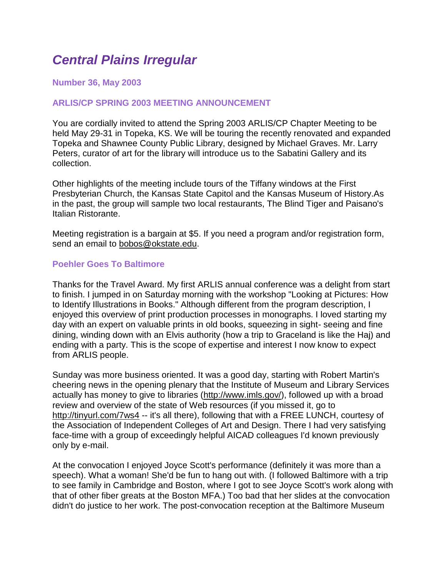# *Central Plains Irregular*

## **Number 36, May 2003**

## **ARLIS/CP SPRING 2003 MEETING ANNOUNCEMENT**

You are cordially invited to attend the Spring 2003 ARLIS/CP Chapter Meeting to be held May 29-31 in Topeka, KS. We will be touring the recently renovated and expanded Topeka and Shawnee County Public Library, designed by Michael Graves. Mr. Larry Peters, curator of art for the library will introduce us to the Sabatini Gallery and its collection.

Other highlights of the meeting include tours of the Tiffany windows at the First Presbyterian Church, the Kansas State Capitol and the Kansas Museum of History.As in the past, the group will sample two local restaurants, The Blind Tiger and Paisano's Italian Ristorante.

Meeting registration is a bargain at \$5. If you need a program and/or registration form, send an email to **bobos@okstate.edu**.

#### **Poehler Goes To Baltimore**

Thanks for the Travel Award. My first ARLIS annual conference was a delight from start to finish. I jumped in on Saturday morning with the workshop "Looking at Pictures: How to Identify Illustrations in Books." Although different from the program description, I enjoyed this overview of print production processes in monographs. I loved starting my day with an expert on valuable prints in old books, squeezing in sight- seeing and fine dining, winding down with an Elvis authority (how a trip to Graceland is like the Haj) and ending with a party. This is the scope of expertise and interest I now know to expect from ARLIS people.

Sunday was more business oriented. It was a good day, starting with Robert Martin's cheering news in the opening plenary that the Institute of Museum and Library Services actually has money to give to libraries [\(http://www.imls.gov/\)](http://www.imls.gov/), followed up with a broad review and overview of the state of Web resources (if you missed it, go to <http://tinyurl.com/7ws4> -- it's all there), following that with a FREE LUNCH, courtesy of the Association of Independent Colleges of Art and Design. There I had very satisfying face-time with a group of exceedingly helpful AICAD colleagues I'd known previously only by e-mail.

At the convocation I enjoyed Joyce Scott's performance (definitely it was more than a speech). What a woman! She'd be fun to hang out with. (I followed Baltimore with a trip to see family in Cambridge and Boston, where I got to see Joyce Scott's work along with that of other fiber greats at the Boston MFA.) Too bad that her slides at the convocation didn't do justice to her work. The post-convocation reception at the Baltimore Museum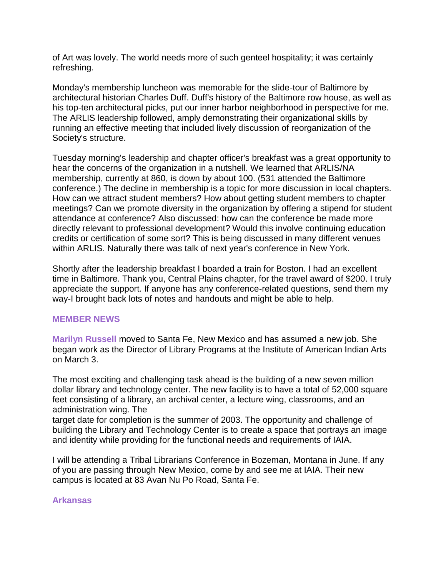of Art was lovely. The world needs more of such genteel hospitality; it was certainly refreshing.

Monday's membership luncheon was memorable for the slide-tour of Baltimore by architectural historian Charles Duff. Duff's history of the Baltimore row house, as well as his top-ten architectural picks, put our inner harbor neighborhood in perspective for me. The ARLIS leadership followed, amply demonstrating their organizational skills by running an effective meeting that included lively discussion of reorganization of the Society's structure.

Tuesday morning's leadership and chapter officer's breakfast was a great opportunity to hear the concerns of the organization in a nutshell. We learned that ARLIS/NA membership, currently at 860, is down by about 100. (531 attended the Baltimore conference.) The decline in membership is a topic for more discussion in local chapters. How can we attract student members? How about getting student members to chapter meetings? Can we promote diversity in the organization by offering a stipend for student attendance at conference? Also discussed: how can the conference be made more directly relevant to professional development? Would this involve continuing education credits or certification of some sort? This is being discussed in many different venues within ARLIS. Naturally there was talk of next year's conference in New York.

Shortly after the leadership breakfast I boarded a train for Boston. I had an excellent time in Baltimore. Thank you, Central Plains chapter, for the travel award of \$200. I truly appreciate the support. If anyone has any conference-related questions, send them my way-I brought back lots of notes and handouts and might be able to help.

# **MEMBER NEWS**

**Marilyn Russell** moved to Santa Fe, New Mexico and has assumed a new job. She began work as the Director of Library Programs at the Institute of American Indian Arts on March 3.

The most exciting and challenging task ahead is the building of a new seven million dollar library and technology center. The new facility is to have a total of 52,000 square feet consisting of a library, an archival center, a lecture wing, classrooms, and an administration wing. The

target date for completion is the summer of 2003. The opportunity and challenge of building the Library and Technology Center is to create a space that portrays an image and identity while providing for the functional needs and requirements of IAIA.

I will be attending a Tribal Librarians Conference in Bozeman, Montana in June. If any of you are passing through New Mexico, come by and see me at IAIA. Their new campus is located at 83 Avan Nu Po Road, Santa Fe.

# **Arkansas**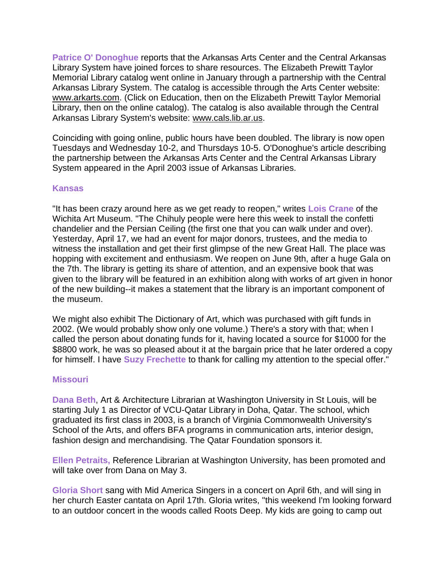**Patrice O' Donoghue** reports that the Arkansas Arts Center and the Central Arkansas Library System have joined forces to share resources. The Elizabeth Prewitt Taylor Memorial Library catalog went online in January through a partnership with the Central Arkansas Library System. The catalog is accessible through the Arts Center website: [www.arkarts.com.](http://www.arkarts.com/) (Click on Education, then on the Elizabeth Prewitt Taylor Memorial Library, then on the online catalog). The catalog is also available through the Central Arkansas Library System's website: [www.cals.lib.ar.us.](http://www.cals.lib.ar.us/)

Coinciding with going online, public hours have been doubled. The library is now open Tuesdays and Wednesday 10-2, and Thursdays 10-5. O'Donoghue's article describing the partnership between the Arkansas Arts Center and the Central Arkansas Library System appeared in the April 2003 issue of Arkansas Libraries.

#### **Kansas**

"It has been crazy around here as we get ready to reopen," writes **Lois Crane** of the Wichita Art Museum. "The Chihuly people were here this week to install the confetti chandelier and the Persian Ceiling (the first one that you can walk under and over). Yesterday, April 17, we had an event for major donors, trustees, and the media to witness the installation and get their first glimpse of the new Great Hall. The place was hopping with excitement and enthusiasm. We reopen on June 9th, after a huge Gala on the 7th. The library is getting its share of attention, and an expensive book that was given to the library will be featured in an exhibition along with works of art given in honor of the new building--it makes a statement that the library is an important component of the museum.

We might also exhibit The Dictionary of Art, which was purchased with gift funds in 2002. (We would probably show only one volume.) There's a story with that; when I called the person about donating funds for it, having located a source for \$1000 for the \$8800 work, he was so pleased about it at the bargain price that he later ordered a copy for himself. I have **Suzy Frechette** to thank for calling my attention to the special offer."

#### **Missouri**

**Dana Beth**, Art & Architecture Librarian at Washington University in St Louis, will be starting July 1 as Director of VCU-Qatar Library in Doha, Qatar. The school, which graduated its first class in 2003, is a branch of Virginia Commonwealth University's School of the Arts, and offers BFA programs in communication arts, interior design, fashion design and merchandising. The Qatar Foundation sponsors it.

**Ellen Petraits,** Reference Librarian at Washington University, has been promoted and will take over from Dana on May 3.

**Gloria Short** sang with Mid America Singers in a concert on April 6th, and will sing in her church Easter cantata on April 17th. Gloria writes, "this weekend I'm looking forward to an outdoor concert in the woods called Roots Deep. My kids are going to camp out